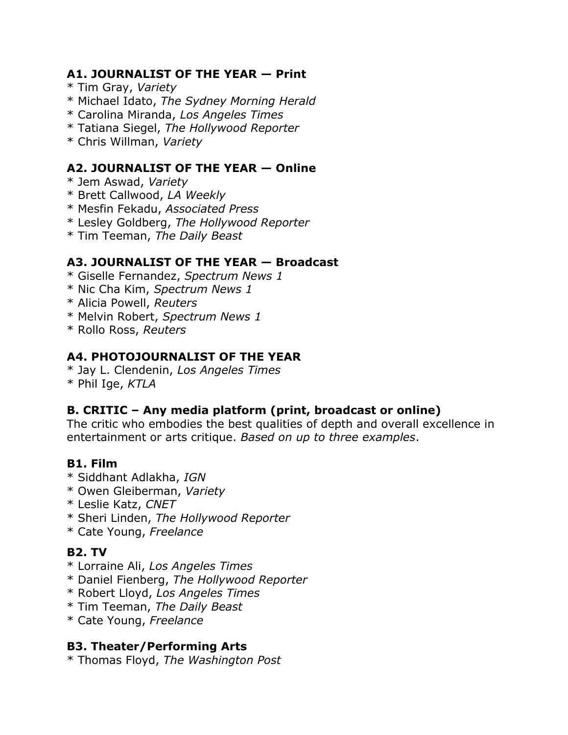#### **A1. JOURNALIST OF THE YEAR — Print**

- \* Tim Gray, *Variety*
- \* Michael Idato, *The Sydney Morning Herald*
- \* Carolina Miranda, *Los Angeles Times*
- \* Tatiana Siegel, *The Hollywood Reporter*
- \* Chris Willman, *Variety*

#### **A2. JOURNALIST OF THE YEAR — Online**

- \* Jem Aswad, *Variety*
- \* Brett Callwood, *LA Weekly*
- \* Mesfin Fekadu, *Associated Press*
- \* Lesley Goldberg, *The Hollywood Reporter*
- \* Tim Teeman, *The Daily Beast*

#### **A3. JOURNALIST OF THE YEAR — Broadcast**

- \* Giselle Fernandez, *Spectrum News 1*
- \* Nic Cha Kim, *Spectrum News 1*
- \* Alicia Powell, *Reuters*
- \* Melvin Robert, *Spectrum News 1*
- \* Rollo Ross, *Reuters*

#### **A4. PHOTOJOURNALIST OF THE YEAR**

\* Jay L. Clendenin, *Los Angeles Times* \* Phil Ige, *KTLA*

#### **B. CRITIC – Any media platform (print, broadcast or online)**

The critic who embodies the best qualities of depth and overall excellence in entertainment or arts critique. *Based on up to three examples*.

#### **B1. Film**

- \* Siddhant Adlakha, *IGN*
- \* Owen Gleiberman, *Variety*
- \* Leslie Katz, *CNET*
- \* Sheri Linden, *The Hollywood Reporter*
- \* Cate Young, *Freelance*

#### **B2. TV**

- \* Lorraine Ali, *Los Angeles Times*
- \* Daniel Fienberg, *The Hollywood Reporter*
- \* Robert Lloyd, *Los Angeles Times*
- \* Tim Teeman, *The Daily Beast*
- \* Cate Young, *Freelance*

#### **B3. Theater/Performing Arts**

\* Thomas Floyd, *The Washington Post*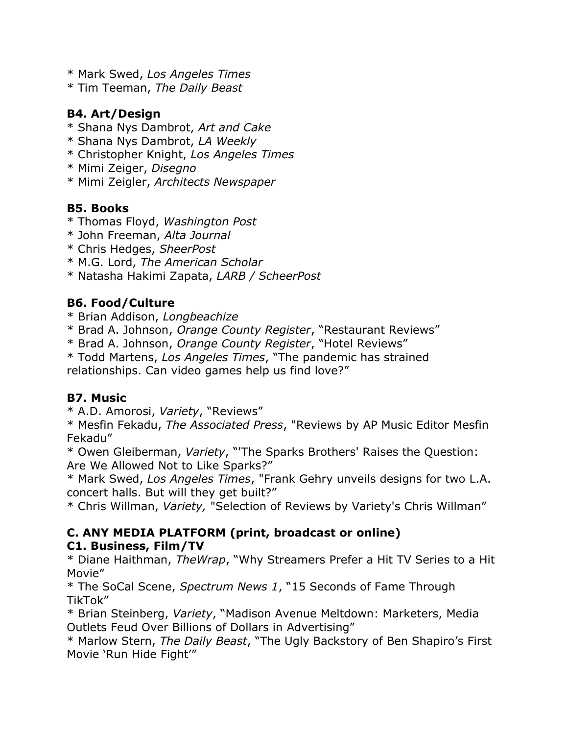- \* Mark Swed, *Los Angeles Times*
- \* Tim Teeman, *The Daily Beast*

#### **B4. Art/Design**

- \* Shana Nys Dambrot, *Art and Cake*
- \* Shana Nys Dambrot, *LA Weekly*
- \* Christopher Knight, *Los Angeles Times*
- \* Mimi Zeiger, *Disegno*
- \* Mimi Zeigler, *Architects Newspaper*

# **B5. Books**

- \* Thomas Floyd, *Washington Post*
- \* John Freeman, *Alta Journal*
- \* Chris Hedges, *SheerPost*
- \* M.G. Lord, *The American Scholar*
- \* Natasha Hakimi Zapata, *LARB / ScheerPost*

# **B6. Food/Culture**

- \* Brian Addison, *Longbeachize*
- \* Brad A. Johnson, *Orange County Register*, "Restaurant Reviews"
- \* Brad A. Johnson, *Orange County Register*, "Hotel Reviews"

\* Todd Martens, *Los Angeles Times*, "The pandemic has strained relationships. Can video games help us find love?"

#### **B7. Music**

\* A.D. Amorosi, *Variety*, "Reviews"

\* Mesfin Fekadu, *The Associated Press*, "Reviews by AP Music Editor Mesfin Fekadu"

\* Owen Gleiberman, *Variety*, "'The Sparks Brothers' Raises the Question: Are We Allowed Not to Like Sparks?"

\* Mark Swed, *Los Angeles Times*, "Frank Gehry unveils designs for two L.A. concert halls. But will they get built?"

\* Chris Willman, *Variety,* "Selection of Reviews by Variety's Chris Willman"

#### **C. ANY MEDIA PLATFORM (print, broadcast or online) C1. Business, Film/TV**

\* Diane Haithman, *TheWrap*, "Why Streamers Prefer a Hit TV Series to a Hit Movie"

\* The SoCal Scene, *Spectrum News 1*, "15 Seconds of Fame Through TikTok"

\* Brian Steinberg, *Variety*, "Madison Avenue Meltdown: Marketers, Media Outlets Feud Over Billions of Dollars in Advertising"

\* Marlow Stern, *The Daily Beast*, "The Ugly Backstory of Ben Shapiro's First Movie 'Run Hide Fight'"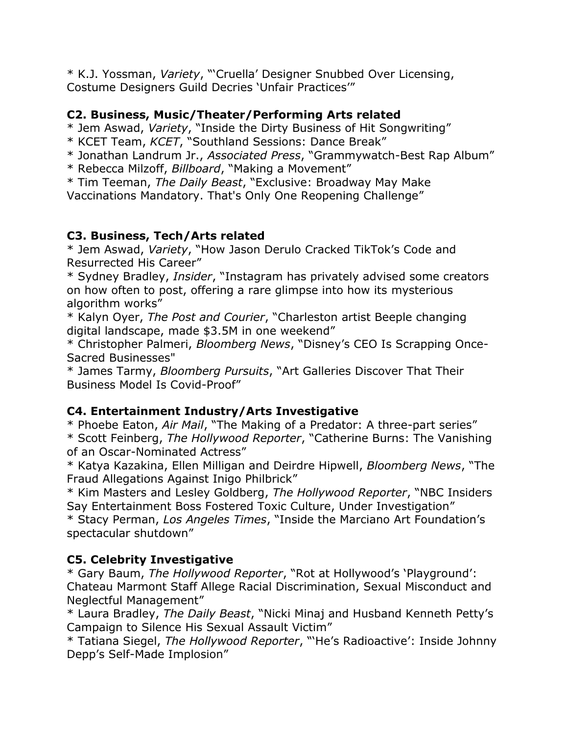\* K.J. Yossman, *Variety*, "'Cruella' Designer Snubbed Over Licensing, Costume Designers Guild Decries 'Unfair Practices'"

#### **C2. Business, Music/Theater/Performing Arts related**

\* Jem Aswad, *Variety*, "Inside the Dirty Business of Hit Songwriting"

- \* KCET Team, *KCET*, "Southland Sessions: Dance Break"
- \* Jonathan Landrum Jr., *Associated Press*, "Grammywatch-Best Rap Album"
- \* Rebecca Milzoff, *Billboard*, "Making a Movement"

\* Tim Teeman, *The Daily Beast*, "Exclusive: Broadway May Make Vaccinations Mandatory. That's Only One Reopening Challenge"

# **C3. Business, Tech/Arts related**

\* Jem Aswad, *Variety*, "How Jason Derulo Cracked TikTok's Code and Resurrected His Career"

\* Sydney Bradley, *Insider*, "Instagram has privately advised some creators on how often to post, offering a rare glimpse into how its mysterious algorithm works"

\* Kalyn Oyer, *The Post and Courier*, "Charleston artist Beeple changing digital landscape, made \$3.5M in one weekend"

\* Christopher Palmeri, *Bloomberg News*, "Disney's CEO Is Scrapping Once-Sacred Businesses"

\* James Tarmy, *Bloomberg Pursuits*, "Art Galleries Discover That Their Business Model Is Covid-Proof"

# **C4. Entertainment Industry/Arts Investigative**

\* Phoebe Eaton, *Air Mail*, "The Making of a Predator: A three-part series" \* Scott Feinberg, *The Hollywood Reporter*, "Catherine Burns: The Vanishing of an Oscar-Nominated Actress"

\* Katya Kazakina, Ellen Milligan and Deirdre Hipwell, *Bloomberg News*, "The Fraud Allegations Against Inigo Philbrick"

\* Kim Masters and Lesley Goldberg, *The Hollywood Reporter*, "NBC Insiders Say Entertainment Boss Fostered Toxic Culture, Under Investigation" \* Stacy Perman, *Los Angeles Times*, "Inside the Marciano Art Foundation's

spectacular shutdown"

# **C5. Celebrity Investigative**

\* Gary Baum, *The Hollywood Reporter*, "Rot at Hollywood's 'Playground': Chateau Marmont Staff Allege Racial Discrimination, Sexual Misconduct and Neglectful Management"

\* Laura Bradley, *The Daily Beast*, "Nicki Minaj and Husband Kenneth Petty's Campaign to Silence His Sexual Assault Victim"

\* Tatiana Siegel, *The Hollywood Reporter*, "'He's Radioactive': Inside Johnny Depp's Self-Made Implosion"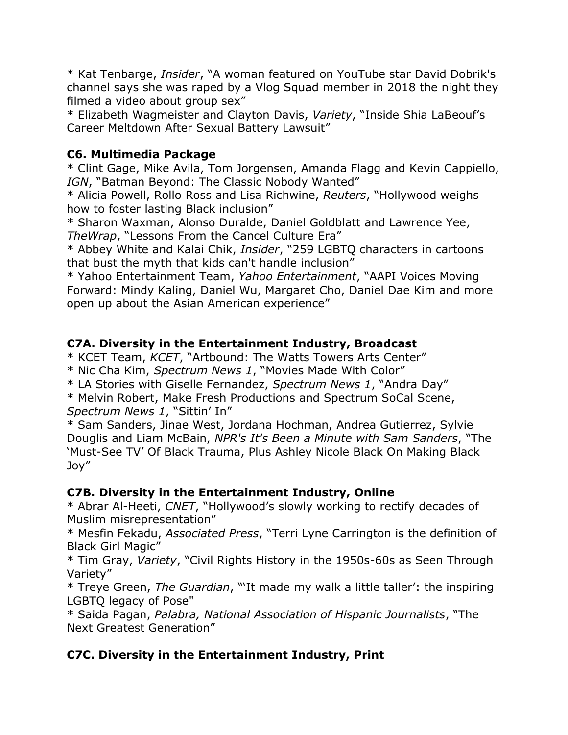\* Kat Tenbarge, *Insider*, "A woman featured on YouTube star David Dobrik's channel says she was raped by a Vlog Squad member in 2018 the night they filmed a video about group sex"

\* Elizabeth Wagmeister and Clayton Davis, *Variety*, "Inside Shia LaBeouf's Career Meltdown After Sexual Battery Lawsuit"

#### **C6. Multimedia Package**

\* Clint Gage, Mike Avila, Tom Jorgensen, Amanda Flagg and Kevin Cappiello, *IGN*, "Batman Beyond: The Classic Nobody Wanted"

\* Alicia Powell, Rollo Ross and Lisa Richwine, *Reuters*, "Hollywood weighs how to foster lasting Black inclusion"

\* Sharon Waxman, Alonso Duralde, Daniel Goldblatt and Lawrence Yee, *TheWrap*, "Lessons From the Cancel Culture Era"

\* Abbey White and Kalai Chik, *Insider*, "259 LGBTQ characters in cartoons that bust the myth that kids can't handle inclusion"

\* Yahoo Entertainment Team, *Yahoo Entertainment*, "AAPI Voices Moving Forward: Mindy Kaling, Daniel Wu, Margaret Cho, Daniel Dae Kim and more open up about the Asian American experience"

#### **C7A. Diversity in the Entertainment Industry, Broadcast**

\* KCET Team, *KCET*, "Artbound: The Watts Towers Arts Center"

\* Nic Cha Kim, *Spectrum News 1*, "Movies Made With Color"

\* LA Stories with Giselle Fernandez, *Spectrum News 1*, "Andra Day"

\* Melvin Robert, Make Fresh Productions and Spectrum SoCal Scene, *Spectrum News 1*, "Sittin' In"

\* Sam Sanders, Jinae West, Jordana Hochman, Andrea Gutierrez, Sylvie Douglis and Liam McBain, *NPR's It's Been a Minute with Sam Sanders*, "The 'Must-See TV' Of Black Trauma, Plus Ashley Nicole Black On Making Black Joy"

#### **C7B. Diversity in the Entertainment Industry, Online**

\* Abrar Al-Heeti, *CNET*, "Hollywood's slowly working to rectify decades of Muslim misrepresentation"

\* Mesfin Fekadu, *Associated Press*, "Terri Lyne Carrington is the definition of Black Girl Magic"

\* Tim Gray, *Variety*, "Civil Rights History in the 1950s-60s as Seen Through Variety"

\* Treye Green, *The Guardian*, "'It made my walk a little taller': the inspiring LGBTQ legacy of Pose"

\* Saida Pagan, *Palabra, National Association of Hispanic Journalists*, "The Next Greatest Generation"

# **C7C. Diversity in the Entertainment Industry, Print**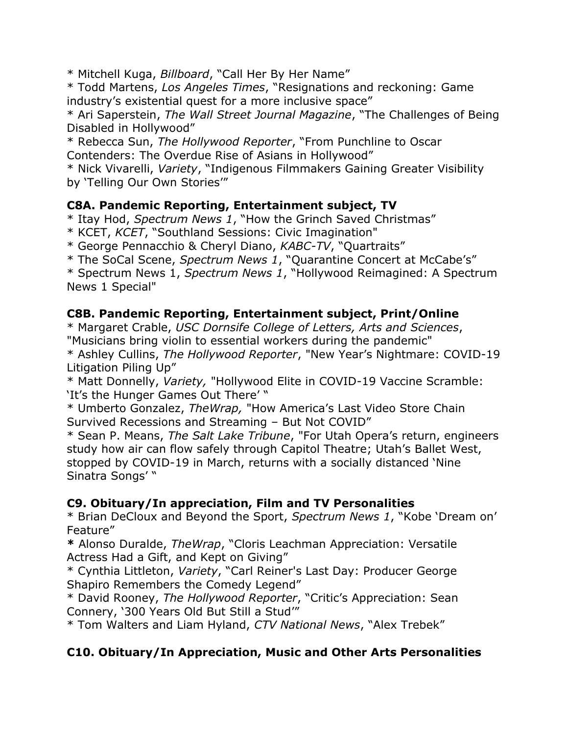\* Mitchell Kuga, *Billboard*, "Call Her By Her Name"

\* Todd Martens, *Los Angeles Times*, "Resignations and reckoning: Game industry's existential quest for a more inclusive space"

\* Ari Saperstein, *The Wall Street Journal Magazine*, "The Challenges of Being Disabled in Hollywood"

\* Rebecca Sun, *The Hollywood Reporter*, "From Punchline to Oscar Contenders: The Overdue Rise of Asians in Hollywood"

\* Nick Vivarelli, *Variety*, "Indigenous Filmmakers Gaining Greater Visibility by 'Telling Our Own Stories'"

#### **C8A. Pandemic Reporting, Entertainment subject, TV**

\* Itay Hod, *Spectrum News 1*, "How the Grinch Saved Christmas"

\* KCET, *KCET*, "Southland Sessions: Civic Imagination"

\* George Pennacchio & Cheryl Diano, *KABC-TV*, "Quartraits"

\* The SoCal Scene, *Spectrum News 1*, "Quarantine Concert at McCabe's"

\* Spectrum News 1, *Spectrum News 1*, "Hollywood Reimagined: A Spectrum News 1 Special"

# **C8B. Pandemic Reporting, Entertainment subject, Print/Online**

\* Margaret Crable, *USC Dornsife College of Letters, Arts and Sciences*, "Musicians bring violin to essential workers during the pandemic"

\* Ashley Cullins, *The Hollywood Reporter*, "New Year's Nightmare: COVID-19 Litigation Piling Up"

\* Matt Donnelly, *Variety,* "Hollywood Elite in COVID-19 Vaccine Scramble: 'It's the Hunger Games Out There' "

\* Umberto Gonzalez, *TheWrap,* "How America's Last Video Store Chain Survived Recessions and Streaming – But Not COVID"

\* Sean P. Means, *The Salt Lake Tribune*, "For Utah Opera's return, engineers study how air can flow safely through Capitol Theatre; Utah's Ballet West, stopped by COVID-19 in March, returns with a socially distanced 'Nine Sinatra Songs' "

#### **C9. Obituary/In appreciation, Film and TV Personalities**

\* Brian DeCloux and Beyond the Sport, *Spectrum News 1*, "Kobe 'Dream on' Feature"

**\*** Alonso Duralde, *TheWrap*, "Cloris Leachman Appreciation: Versatile Actress Had a Gift, and Kept on Giving"

\* Cynthia Littleton, *Variety*, "Carl Reiner's Last Day: Producer George Shapiro Remembers the Comedy Legend"

\* David Rooney, *The Hollywood Reporter*, "Critic's Appreciation: Sean Connery, '300 Years Old But Still a Stud'"

\* Tom Walters and Liam Hyland, *CTV National News*, "Alex Trebek"

# **C10. Obituary/In Appreciation, Music and Other Arts Personalities**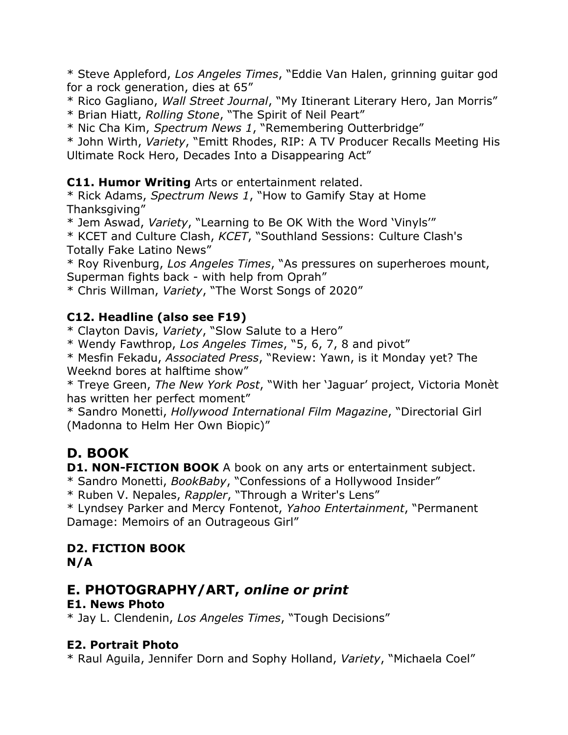\* Steve Appleford, *Los Angeles Times*, "Eddie Van Halen, grinning guitar god for a rock generation, dies at 65"

\* Rico Gagliano, *Wall Street Journal*, "My Itinerant Literary Hero, Jan Morris" \* Brian Hiatt, *Rolling Stone*, "The Spirit of Neil Peart"

\* Nic Cha Kim, *Spectrum News 1*, "Remembering Outterbridge"

\* John Wirth, *Variety*, "Emitt Rhodes, RIP: A TV Producer Recalls Meeting His Ultimate Rock Hero, Decades Into a Disappearing Act"

**C11. Humor Writing** Arts or entertainment related.

\* Rick Adams, *Spectrum News 1*, "How to Gamify Stay at Home Thanksgiving"

\* Jem Aswad, *Variety*, "Learning to Be OK With the Word 'Vinyls'"

\* KCET and Culture Clash, *KCET*, "Southland Sessions: Culture Clash's Totally Fake Latino News"

\* Roy Rivenburg, *Los Angeles Times*, "As pressures on superheroes mount, Superman fights back - with help from Oprah"

\* Chris Willman, *Variety*, "The Worst Songs of 2020"

#### **C12. Headline (also see F19)**

\* Clayton Davis, *Variety*, "Slow Salute to a Hero"

\* Wendy Fawthrop, *Los Angeles Times*, "5, 6, 7, 8 and pivot"

\* Mesfin Fekadu, *Associated Press*, "Review: Yawn, is it Monday yet? The Weeknd bores at halftime show"

\* Treye Green, *The New York Post*, "With her 'Jaguar' project, Victoria Monèt has written her perfect moment"

\* Sandro Monetti, *Hollywood International Film Magazine*, "Directorial Girl (Madonna to Helm Her Own Biopic)"

# **D. BOOK**

**D1. NON-FICTION BOOK** A book on any arts or entertainment subject.

\* Sandro Monetti, *BookBaby*, "Confessions of a Hollywood Insider"

\* Ruben V. Nepales, *Rappler*, "Through a Writer's Lens"

\* Lyndsey Parker and Mercy Fontenot, *Yahoo Entertainment*, "Permanent Damage: Memoirs of an Outrageous Girl"

# **D2. FICTION BOOK**

**N/A**

# **E. PHOTOGRAPHY/ART,** *online or print*

# **E1. News Photo**

\* Jay L. Clendenin, *Los Angeles Times*, "Tough Decisions"

#### **E2. Portrait Photo**

\* Raul Aguila, Jennifer Dorn and Sophy Holland, *Variety*, "Michaela Coel"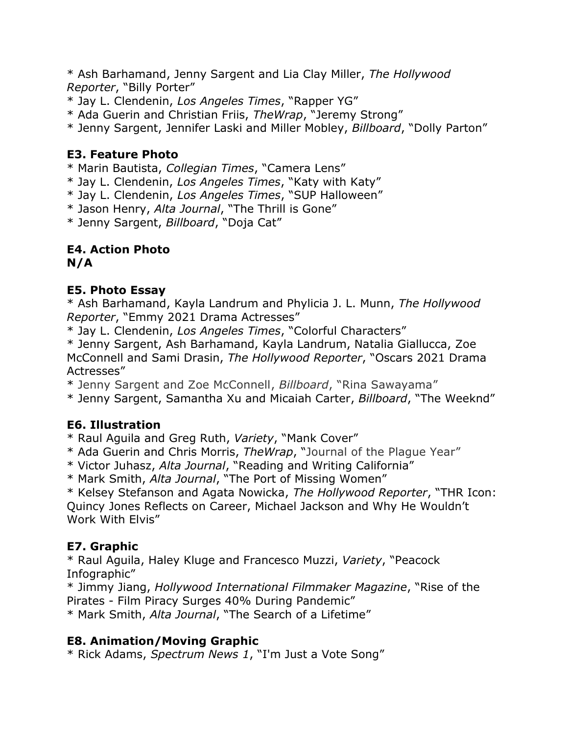\* Ash Barhamand, Jenny Sargent and Lia Clay Miller, *The Hollywood Reporter*, "Billy Porter"

\* Jay L. Clendenin, *Los Angeles Times*, "Rapper YG"

\* Ada Guerin and Christian Friis, *TheWrap*, "Jeremy Strong"

\* Jenny Sargent, Jennifer Laski and Miller Mobley, *Billboard*, "Dolly Parton"

#### **E3. Feature Photo**

\* Marin Bautista, *Collegian Times*, "Camera Lens"

\* Jay L. Clendenin, *Los Angeles Times*, "Katy with Katy"

\* Jay L. Clendenin, *Los Angeles Times*, "SUP Halloween"

\* Jason Henry, *Alta Journal*, "The Thrill is Gone"

\* Jenny Sargent, *Billboard*, "Doja Cat"

# **E4. Action Photo**

**N/A**

#### **E5. Photo Essay**

\* Ash Barhamand, Kayla Landrum and Phylicia J. L. Munn, *The Hollywood Reporter*, "Emmy 2021 Drama Actresses"

\* Jay L. Clendenin, *Los Angeles Times*, "Colorful Characters"

\* Jenny Sargent, Ash Barhamand, Kayla Landrum, Natalia Giallucca, Zoe McConnell and Sami Drasin, *The Hollywood Reporter*, "Oscars 2021 Drama Actresses"

\* Jenny Sargent and Zoe McConnell, *Billboard*, "Rina Sawayama"

\* Jenny Sargent, Samantha Xu and Micaiah Carter, *Billboard*, "The Weeknd"

# **E6. Illustration**

\* Raul Aguila and Greg Ruth, *Variety*, "Mank Cover"

\* Ada Guerin and Chris Morris, *TheWrap*, "Journal of the Plague Year"

\* Victor Juhasz, *Alta Journal*, "Reading and Writing California"

\* Mark Smith, *Alta Journal*, "The Port of Missing Women"

\* Kelsey Stefanson and Agata Nowicka, *The Hollywood Reporter*, "THR Icon: Quincy Jones Reflects on Career, Michael Jackson and Why He Wouldn't Work With Elvis"

# **E7. Graphic**

\* Raul Aguila, Haley Kluge and Francesco Muzzi, *Variety*, "Peacock Infographic"

\* Jimmy Jiang, *Hollywood International Filmmaker Magazine*, "Rise of the Pirates - Film Piracy Surges 40% During Pandemic"

\* Mark Smith, *Alta Journal*, "The Search of a Lifetime"

# **E8. Animation/Moving Graphic**

\* Rick Adams, *Spectrum News 1*, "I'm Just a Vote Song"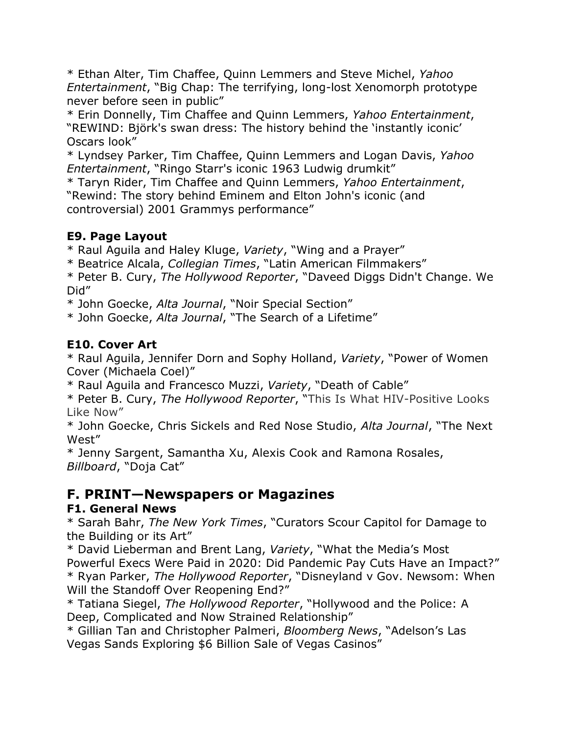\* Ethan Alter, Tim Chaffee, Quinn Lemmers and Steve Michel, *Yahoo Entertainment*, "Big Chap: The terrifying, long-lost Xenomorph prototype never before seen in public"

\* Erin Donnelly, Tim Chaffee and Quinn Lemmers, *Yahoo Entertainment*, "REWIND: Björk's swan dress: The history behind the 'instantly iconic' Oscars look"

\* Lyndsey Parker, Tim Chaffee, Quinn Lemmers and Logan Davis, *Yahoo Entertainment*, "Ringo Starr's iconic 1963 Ludwig drumkit"

\* Taryn Rider, Tim Chaffee and Quinn Lemmers, *Yahoo Entertainment*, "Rewind: The story behind Eminem and Elton John's iconic (and controversial) 2001 Grammys performance"

# **E9. Page Layout**

\* Raul Aguila and Haley Kluge, *Variety*, "Wing and a Prayer"

\* Beatrice Alcala, *Collegian Times*, "Latin American Filmmakers"

\* Peter B. Cury, *The Hollywood Reporter*, "Daveed Diggs Didn't Change. We Did"

\* John Goecke, *Alta Journal*, "Noir Special Section"

\* John Goecke, *Alta Journal*, "The Search of a Lifetime"

# **E10. Cover Art**

\* Raul Aguila, Jennifer Dorn and Sophy Holland, *Variety*, "Power of Women Cover (Michaela Coel)"

\* Raul Aguila and Francesco Muzzi, *Variety*, "Death of Cable"

\* Peter B. Cury, *The Hollywood Reporter*, "This Is What HIV-Positive Looks Like Now"

\* John Goecke, Chris Sickels and Red Nose Studio, *Alta Journal*, "The Next West"

\* Jenny Sargent, Samantha Xu, Alexis Cook and Ramona Rosales, *Billboard*, "Doja Cat"

# **F. PRINT—Newspapers or Magazines**

#### **F1. General News**

\* Sarah Bahr, *The New York Times*, "Curators Scour Capitol for Damage to the Building or its Art"

\* David Lieberman and Brent Lang, *Variety*, "What the Media's Most Powerful Execs Were Paid in 2020: Did Pandemic Pay Cuts Have an Impact?" \* Ryan Parker, *The Hollywood Reporter*, "Disneyland v Gov. Newsom: When Will the Standoff Over Reopening End?"

\* Tatiana Siegel, *The Hollywood Reporter*, "Hollywood and the Police: A Deep, Complicated and Now Strained Relationship"

\* Gillian Tan and Christopher Palmeri, *Bloomberg News*, "Adelson's Las Vegas Sands Exploring \$6 Billion Sale of Vegas Casinos"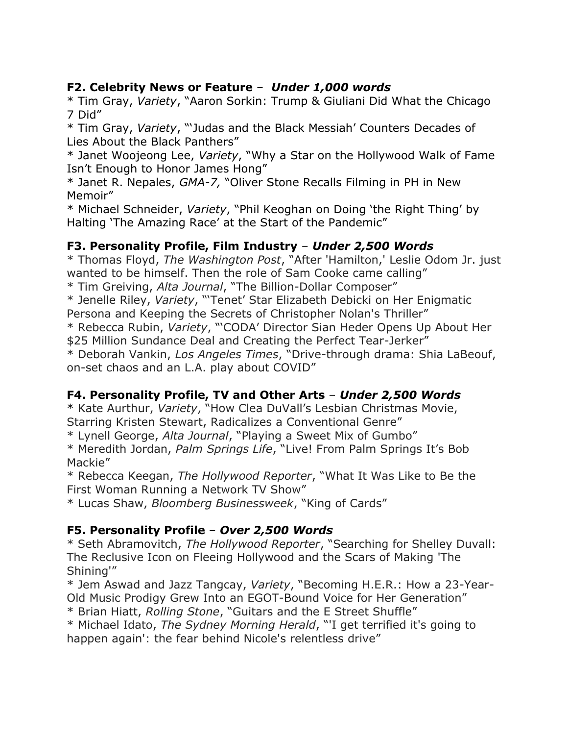#### **F2. Celebrity News or Feature** – *Under 1,000 words*

\* Tim Gray, *Variety*, "Aaron Sorkin: Trump & Giuliani Did What the Chicago 7 Did"

\* Tim Gray, *Variety*, "'Judas and the Black Messiah' Counters Decades of Lies About the Black Panthers"

\* Janet Woojeong Lee, *Variety*, "Why a Star on the Hollywood Walk of Fame Isn't Enough to Honor James Hong"

\* Janet R. Nepales, *GMA-7,* "Oliver Stone Recalls Filming in PH in New Memoir"

\* Michael Schneider, *Variety*, "Phil Keoghan on Doing 'the Right Thing' by Halting 'The Amazing Race' at the Start of the Pandemic"

#### **F3. Personality Profile, Film Industry** – *Under 2,500 Words*

\* Thomas Floyd, *The Washington Post*, "After 'Hamilton,' Leslie Odom Jr. just wanted to be himself. Then the role of Sam Cooke came calling" \* Tim Greiving, *Alta Journal*, "The Billion-Dollar Composer"

\* Jenelle Riley, *Variety*, "'Tenet' Star Elizabeth Debicki on Her Enigmatic Persona and Keeping the Secrets of Christopher Nolan's Thriller" \* Rebecca Rubin, *Variety*, "'CODA' Director Sian Heder Opens Up About Her \$25 Million Sundance Deal and Creating the Perfect Tear-Jerker"

\* Deborah Vankin, *Los Angeles Times*, "Drive-through drama: Shia LaBeouf, on-set chaos and an L.A. play about COVID"

# **F4. Personality Profile, TV and Other Arts** – *Under 2,500 Words*

\* Kate Aurthur, *Variety*, "How Clea DuVall's Lesbian Christmas Movie, Starring Kristen Stewart, Radicalizes a Conventional Genre"

\* Lynell George, *Alta Journal*, "Playing a Sweet Mix of Gumbo"

\* Meredith Jordan, *Palm Springs Life*, "Live! From Palm Springs It's Bob Mackie"

\* Rebecca Keegan, *The Hollywood Reporter*, "What It Was Like to Be the First Woman Running a Network TV Show"

\* Lucas Shaw, *Bloomberg Businessweek*, "King of Cards"

# **F5. Personality Profile** – *Over 2,500 Words*

\* Seth Abramovitch, *The Hollywood Reporter*, "Searching for Shelley Duvall: The Reclusive Icon on Fleeing Hollywood and the Scars of Making 'The Shining'"

\* Jem Aswad and Jazz Tangcay, *Variety*, "Becoming H.E.R.: How a 23-Year-Old Music Prodigy Grew Into an EGOT-Bound Voice for Her Generation"

\* Brian Hiatt, *Rolling Stone*, "Guitars and the E Street Shuffle"

\* Michael Idato, *The Sydney Morning Herald*, "'I get terrified it's going to happen again': the fear behind Nicole's relentless drive"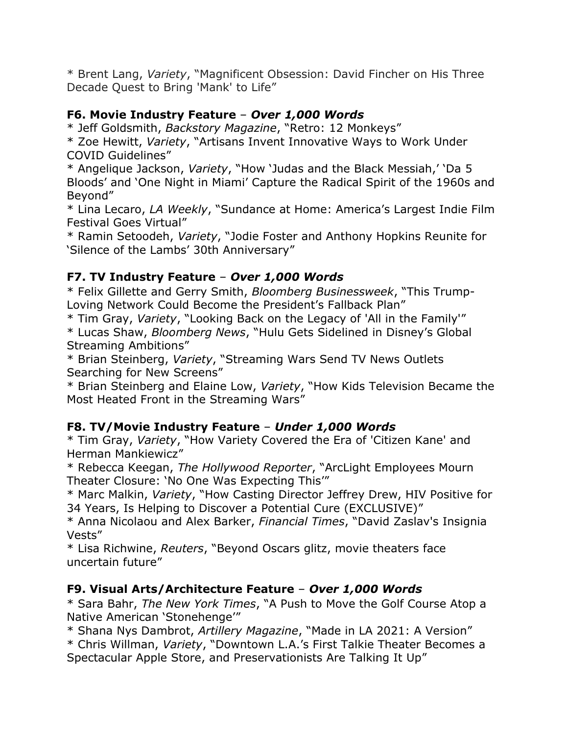\* Brent Lang, *Variety*, "Magnificent Obsession: David Fincher on His Three Decade Quest to Bring 'Mank' to Life"

#### **F6. Movie Industry Feature** – *Over 1,000 Words*

\* Jeff Goldsmith, *Backstory Magazine*, "Retro: 12 Monkeys"

\* Zoe Hewitt, *Variety*, "Artisans Invent Innovative Ways to Work Under COVID Guidelines"

\* Angelique Jackson, *Variety*, "How 'Judas and the Black Messiah,' 'Da 5 Bloods' and 'One Night in Miami' Capture the Radical Spirit of the 1960s and Beyond"

\* Lina Lecaro, *LA Weekly*, "Sundance at Home: America's Largest Indie Film Festival Goes Virtual"

\* Ramin Setoodeh, *Variety*, "Jodie Foster and Anthony Hopkins Reunite for 'Silence of the Lambs' 30th Anniversary"

# **F7. TV Industry Feature** – *Over 1,000 Words*

\* Felix Gillette and Gerry Smith, *Bloomberg Businessweek*, "This Trump-Loving Network Could Become the President's Fallback Plan"

\* Tim Gray, *Variety*, "Looking Back on the Legacy of 'All in the Family'"

\* Lucas Shaw, *Bloomberg News*, "Hulu Gets Sidelined in Disney's Global Streaming Ambitions"

\* Brian Steinberg, *Variety*, "Streaming Wars Send TV News Outlets Searching for New Screens"

\* Brian Steinberg and Elaine Low, *Variety*, "How Kids Television Became the Most Heated Front in the Streaming Wars"

# **F8. TV/Movie Industry Feature** – *Under 1,000 Words*

\* Tim Gray, *Variety*, "How Variety Covered the Era of 'Citizen Kane' and Herman Mankiewicz"

\* Rebecca Keegan, *The Hollywood Reporter*, "ArcLight Employees Mourn Theater Closure: 'No One Was Expecting This'"

\* Marc Malkin, *Variety*, "How Casting Director Jeffrey Drew, HIV Positive for 34 Years, Is Helping to Discover a Potential Cure (EXCLUSIVE)"

\* Anna Nicolaou and Alex Barker, *Financial Times*, "David Zaslav's Insignia Vests"

\* Lisa Richwine, *Reuters*, "Beyond Oscars glitz, movie theaters face uncertain future"

#### **F9. Visual Arts/Architecture Feature** – *Over 1,000 Words*

\* Sara Bahr, *The New York Times*, "A Push to Move the Golf Course Atop a Native American 'Stonehenge'"

\* Shana Nys Dambrot, *Artillery Magazine*, "Made in LA 2021: A Version"

\* Chris Willman, *Variety*, "Downtown L.A.'s First Talkie Theater Becomes a Spectacular Apple Store, and Preservationists Are Talking It Up"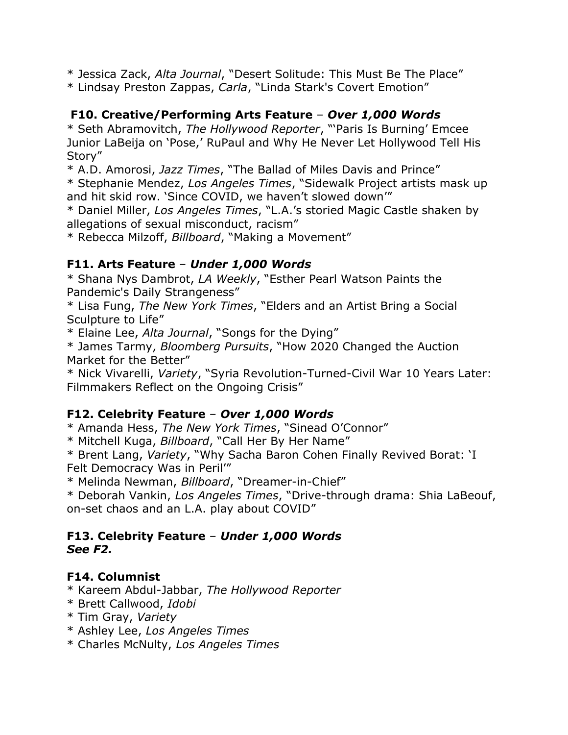\* Jessica Zack, *Alta Journal*, "Desert Solitude: This Must Be The Place"

\* Lindsay Preston Zappas, *Carla*, "Linda Stark's Covert Emotion"

# **F10. Creative/Performing Arts Feature** – *Over 1,000 Words*

\* Seth Abramovitch, *The Hollywood Reporter*, "'Paris Is Burning' Emcee Junior LaBeija on 'Pose,' RuPaul and Why He Never Let Hollywood Tell His Story"

\* A.D. Amorosi, *Jazz Times*, "The Ballad of Miles Davis and Prince"

\* Stephanie Mendez, *Los Angeles Times*, "Sidewalk Project artists mask up and hit skid row. 'Since COVID, we haven't slowed down'"

\* Daniel Miller, *Los Angeles Times*, "L.A.'s storied Magic Castle shaken by allegations of sexual misconduct, racism"

\* Rebecca Milzoff, *Billboard*, "Making a Movement"

#### **F11. Arts Feature** – *Under 1,000 Words*

\* Shana Nys Dambrot, *LA Weekly*, "Esther Pearl Watson Paints the Pandemic's Daily Strangeness"

\* Lisa Fung, *The New York Times*, "Elders and an Artist Bring a Social Sculpture to Life"

\* Elaine Lee, *Alta Journal*, "Songs for the Dying"

\* James Tarmy, *Bloomberg Pursuits*, "How 2020 Changed the Auction Market for the Better"

\* Nick Vivarelli, *Variety*, "Syria Revolution-Turned-Civil War 10 Years Later: Filmmakers Reflect on the Ongoing Crisis"

#### **F12. Celebrity Feature** – *Over 1,000 Words*

\* Amanda Hess, *The New York Times*, "Sinead O'Connor"

\* Mitchell Kuga, *Billboard*, "Call Her By Her Name"

\* Brent Lang, *Variety*, "Why Sacha Baron Cohen Finally Revived Borat: 'I Felt Democracy Was in Peril'"

\* Melinda Newman, *Billboard*, "Dreamer-in-Chief"

\* Deborah Vankin, *Los Angeles Times*, "Drive-through drama: Shia LaBeouf, on-set chaos and an L.A. play about COVID"

#### **F13. Celebrity Feature** – *Under 1,000 Words See F2.*

# **F14. Columnist**

- \* Kareem Abdul-Jabbar, *The Hollywood Reporter*
- \* Brett Callwood, *Idobi*
- \* Tim Gray, *Variety*
- \* Ashley Lee, *Los Angeles Times*
- \* Charles McNulty, *Los Angeles Times*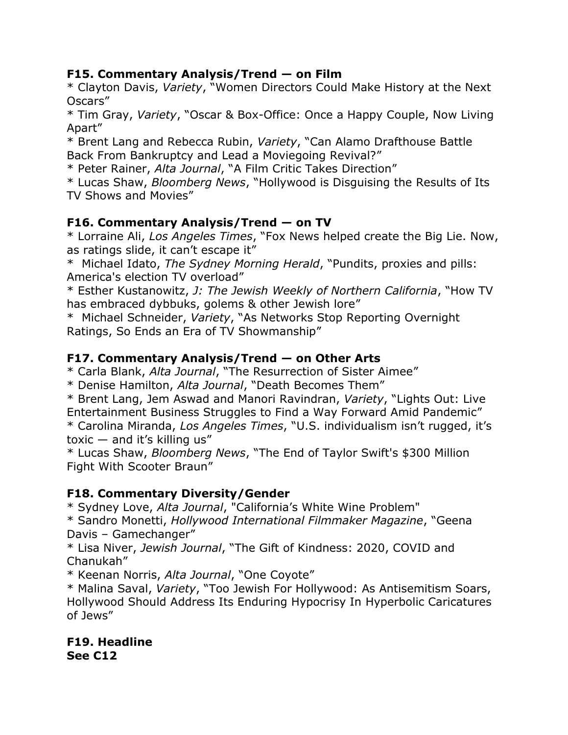#### **F15. Commentary Analysis/Trend — on Film**

\* Clayton Davis, *Variety*, "Women Directors Could Make History at the Next Oscars"

\* Tim Gray, *Variety*, "Oscar & Box-Office: Once a Happy Couple, Now Living Apart"

\* Brent Lang and Rebecca Rubin, *Variety*, "Can Alamo Drafthouse Battle Back From Bankruptcy and Lead a Moviegoing Revival?"

\* Peter Rainer, *Alta Journal*, "A Film Critic Takes Direction"

\* Lucas Shaw, *Bloomberg News*, "Hollywood is Disguising the Results of Its TV Shows and Movies"

# **F16. Commentary Analysis/Trend — on TV**

\* Lorraine Ali, *Los Angeles Times*, "Fox News helped create the Big Lie. Now, as ratings slide, it can't escape it"

\* Michael Idato, *The Sydney Morning Herald*, "Pundits, proxies and pills: America's election TV overload"

\* Esther Kustanowitz, *J: The Jewish Weekly of Northern California*, "How TV has embraced dybbuks, golems & other Jewish lore"

\* Michael Schneider, *Variety*, "As Networks Stop Reporting Overnight Ratings, So Ends an Era of TV Showmanship"

# **F17. Commentary Analysis/Trend — on Other Arts**

\* Carla Blank, *Alta Journal*, "The Resurrection of Sister Aimee"

\* Denise Hamilton, *Alta Journal*, "Death Becomes Them"

\* Brent Lang, Jem Aswad and Manori Ravindran, *Variety*, "Lights Out: Live Entertainment Business Struggles to Find a Way Forward Amid Pandemic" \* Carolina Miranda, *Los Angeles Times*, "U.S. individualism isn't rugged, it's toxic  $-$  and it's killing us"

\* Lucas Shaw, *Bloomberg News*, "The End of Taylor Swift's \$300 Million Fight With Scooter Braun"

# **F18. Commentary Diversity/Gender**

\* Sydney Love, *Alta Journal*, "California's White Wine Problem"

\* Sandro Monetti, *Hollywood International Filmmaker Magazine*, "Geena Davis – Gamechanger"

\* Lisa Niver, *Jewish Journal*, "The Gift of Kindness: 2020, COVID and Chanukah"

\* Keenan Norris, *Alta Journal*, "One Coyote"

\* Malina Saval, *Variety*, "Too Jewish For Hollywood: As Antisemitism Soars, Hollywood Should Address Its Enduring Hypocrisy In Hyperbolic Caricatures of Jews"

**F19. Headline See C12**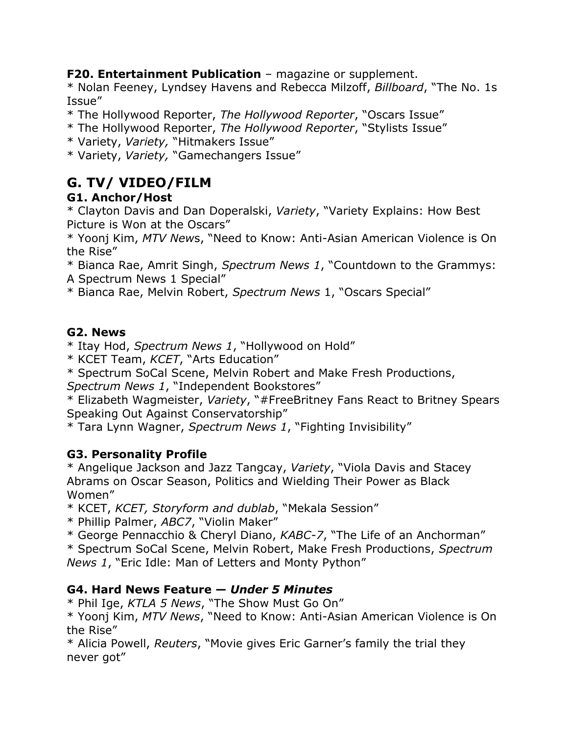**F20. Entertainment Publication** – magazine or supplement.

\* Nolan Feeney, Lyndsey Havens and Rebecca Milzoff, *Billboard*, "The No. 1s Issue"

\* The Hollywood Reporter, *The Hollywood Reporter*, "Oscars Issue"

\* The Hollywood Reporter, *The Hollywood Reporter*, "Stylists Issue"

\* Variety, *Variety,* "Hitmakers Issue"

\* Variety, *Variety,* "Gamechangers Issue"

# **G. TV/ VIDEO/FILM**

# **G1. Anchor/Host**

\* Clayton Davis and Dan Doperalski, *Variety*, "Variety Explains: How Best Picture is Won at the Oscars"

\* Yoonj Kim, *MTV New*s, "Need to Know: Anti-Asian American Violence is On the Rise"

\* Bianca Rae, Amrit Singh, *Spectrum News 1*, "Countdown to the Grammys: A Spectrum News 1 Special"

\* Bianca Rae, Melvin Robert, *Spectrum News* 1, "Oscars Special"

# **G2. News**

\* Itay Hod, *Spectrum News 1*, "Hollywood on Hold"

\* KCET Team, *KCET*, "Arts Education"

\* Spectrum SoCal Scene, Melvin Robert and Make Fresh Productions,

*Spectrum News 1*, "Independent Bookstores"

\* Elizabeth Wagmeister, *Variety*, "#FreeBritney Fans React to Britney Spears Speaking Out Against Conservatorship"

\* Tara Lynn Wagner, *Spectrum News 1*, "Fighting Invisibility"

# **G3. Personality Profile**

\* Angelique Jackson and Jazz Tangcay, *Variety*, "Viola Davis and Stacey Abrams on Oscar Season, Politics and Wielding Their Power as Black Women"

\* KCET, *KCET, Storyform and dublab*, "Mekala Session"

\* Phillip Palmer, *ABC7*, "Violin Maker"

\* George Pennacchio & Cheryl Diano, *KABC-7*, "The Life of an Anchorman"

\* Spectrum SoCal Scene, Melvin Robert, Make Fresh Productions, *Spectrum News 1*, "Eric Idle: Man of Letters and Monty Python"

# **G4. Hard News Feature —** *Under 5 Minutes*

\* Phil Ige, *KTLA 5 News*, "The Show Must Go On"

\* Yoonj Kim, *MTV News*, "Need to Know: Anti-Asian American Violence is On the Rise"

\* Alicia Powell, *Reuters*, "Movie gives Eric Garner's family the trial they never got"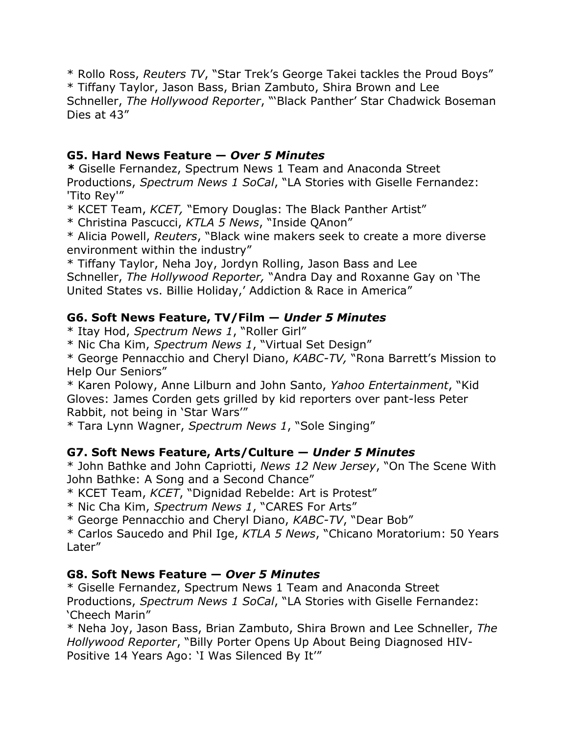\* Rollo Ross, *Reuters TV*, "Star Trek's George Takei tackles the Proud Boys" \* Tiffany Taylor, Jason Bass, Brian Zambuto, Shira Brown and Lee Schneller, *The Hollywood Reporter*, "'Black Panther' Star Chadwick Boseman Dies at 43"

#### **G5. Hard News Feature —** *Over 5 Minutes*

*\** Giselle Fernandez, Spectrum News 1 Team and Anaconda Street Productions, *Spectrum News 1 SoCal*, "LA Stories with Giselle Fernandez: 'Tito Rey'"

\* KCET Team, *KCET,* "Emory Douglas: The Black Panther Artist"

\* Christina Pascucci, *KTLA 5 News*, "Inside QAnon"

\* Alicia Powell, *Reuters*, "Black wine makers seek to create a more diverse environment within the industry"

\* Tiffany Taylor, Neha Joy, Jordyn Rolling, Jason Bass and Lee

Schneller, *The Hollywood Reporter,* "Andra Day and Roxanne Gay on 'The United States vs. Billie Holiday,' Addiction & Race in America"

# **G6. Soft News Feature, TV/Film —** *Under 5 Minutes*

\* Itay Hod, *Spectrum News 1*, "Roller Girl"

\* Nic Cha Kim, *Spectrum News 1*, "Virtual Set Design"

\* George Pennacchio and Cheryl Diano, *KABC-TV,* "Rona Barrett's Mission to Help Our Seniors"

\* Karen Polowy, Anne Lilburn and John Santo, *Yahoo Entertainment*, "Kid Gloves: James Corden gets grilled by kid reporters over pant-less Peter Rabbit, not being in 'Star Wars'"

\* Tara Lynn Wagner, *Spectrum News 1*, "Sole Singing"

# **G7. Soft News Feature, Arts/Culture —** *Under 5 Minutes*

\* John Bathke and John Capriotti, *News 12 New Jersey*, "On The Scene With John Bathke: A Song and a Second Chance"

\* KCET Team, *KCET*, "Dignidad Rebelde: Art is Protest"

\* Nic Cha Kim, *Spectrum News 1*, "CARES For Arts"

\* George Pennacchio and Cheryl Diano, *KABC-TV*, "Dear Bob"

\* Carlos Saucedo and Phil Ige, *KTLA 5 News*, "Chicano Moratorium: 50 Years Later"

# **G8. Soft News Feature —** *Over 5 Minutes*

\* Giselle Fernandez, Spectrum News 1 Team and Anaconda Street Productions, *Spectrum News 1 SoCal*, "LA Stories with Giselle Fernandez: 'Cheech Marin"

\* Neha Joy, Jason Bass, Brian Zambuto, Shira Brown and Lee Schneller, *The Hollywood Reporter*, "Billy Porter Opens Up About Being Diagnosed HIV-Positive 14 Years Ago: 'I Was Silenced By It'"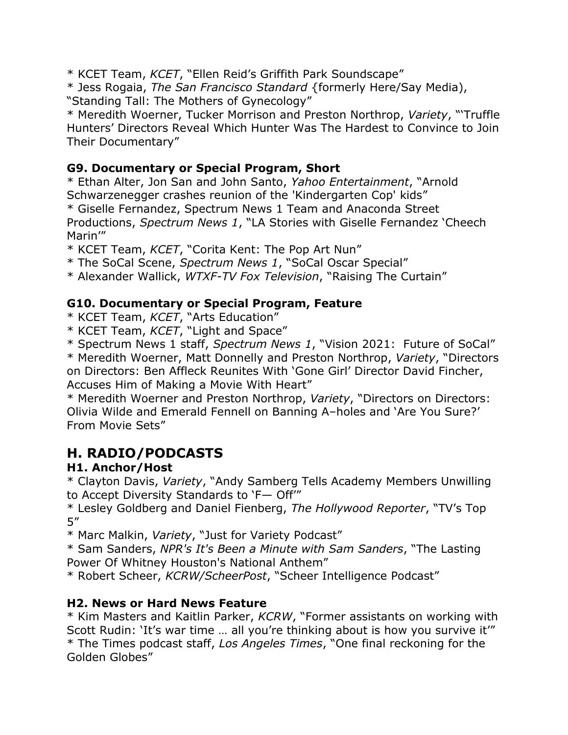\* KCET Team, *KCET*, "Ellen Reid's Griffith Park Soundscape"

\* Jess Rogaia, *The San Francisco Standard* {formerly Here/Say Media), "Standing Tall: The Mothers of Gynecology"

\* Meredith Woerner, Tucker Morrison and Preston Northrop, *Variety*, "'Truffle Hunters' Directors Reveal Which Hunter Was The Hardest to Convince to Join Their Documentary"

# **G9. Documentary or Special Program, Short**

\* Ethan Alter, Jon San and John Santo, *Yahoo Entertainment*, "Arnold Schwarzenegger crashes reunion of the 'Kindergarten Cop' kids" \* Giselle Fernandez, Spectrum News 1 Team and Anaconda Street Productions, *Spectrum News 1*, "LA Stories with Giselle Fernandez 'Cheech

Marin'"

\* KCET Team, *KCET*, "Corita Kent: The Pop Art Nun"

\* The SoCal Scene, *Spectrum News 1*, "SoCal Oscar Special"

\* Alexander Wallick, *WTXF-TV Fox Television*, "Raising The Curtain"

# **G10. Documentary or Special Program, Feature**

\* KCET Team, *KCET*, "Arts Education"

\* KCET Team, *KCET*, "Light and Space"

\* Spectrum News 1 staff, *Spectrum News 1*, "Vision 2021: Future of SoCal"

\* Meredith Woerner, Matt Donnelly and Preston Northrop, *Variety*, "Directors on Directors: Ben Affleck Reunites With 'Gone Girl' Director David Fincher, Accuses Him of Making a Movie With Heart"

\* Meredith Woerner and Preston Northrop, *Variety*, "Directors on Directors: Olivia Wilde and Emerald Fennell on Banning A–holes and 'Are You Sure?' From Movie Sets"

# **H. RADIO/PODCASTS**

# **H1. Anchor/Host**

\* Clayton Davis, *Variety*, "Andy Samberg Tells Academy Members Unwilling to Accept Diversity Standards to 'F— Off'"

\* Lesley Goldberg and Daniel Fienberg, *The Hollywood Reporter*, "TV's Top 5"

\* Marc Malkin, *Variety*, "Just for Variety Podcast"

\* Sam Sanders, *NPR's It's Been a Minute with Sam Sanders*, "The Lasting Power Of Whitney Houston's National Anthem"

\* Robert Scheer, *KCRW/ScheerPost*, "Scheer Intelligence Podcast"

# **H2. News or Hard News Feature**

\* Kim Masters and Kaitlin Parker, *KCRW*, "Former assistants on working with Scott Rudin: 'It's war time … all you're thinking about is how you survive it'" \* The Times podcast staff, *Los Angeles Times*, "One final reckoning for the Golden Globes"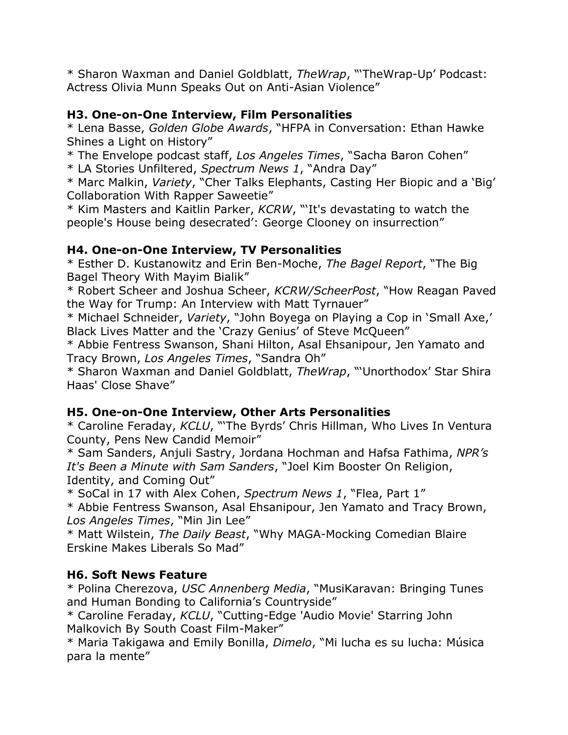\* Sharon Waxman and Daniel Goldblatt, *TheWrap*, "'TheWrap-Up' Podcast: Actress Olivia Munn Speaks Out on Anti-Asian Violence"

# **H3. One-on-One Interview, Film Personalities**

\* Lena Basse, *Golden Globe Awards*, "HFPA in Conversation: Ethan Hawke Shines a Light on History"

\* The Envelope podcast staff, *Los Angeles Times*, "Sacha Baron Cohen" \* LA Stories Unfiltered, *Spectrum News 1*, "Andra Day"

\* Marc Malkin, *Variety*, "Cher Talks Elephants, Casting Her Biopic and a 'Big' Collaboration With Rapper Saweetie"

\* Kim Masters and Kaitlin Parker, *KCRW*, "'It's devastating to watch the people's House being desecrated': George Clooney on insurrection"

# **H4. One-on-One Interview, TV Personalities**

\* Esther D. Kustanowitz and Erin Ben-Moche, *The Bagel Report*, "The Big Bagel Theory With Mayim Bialik"

\* Robert Scheer and Joshua Scheer, *KCRW/ScheerPost*, "How Reagan Paved the Way for Trump: An Interview with Matt Tyrnauer"

\* Michael Schneider, *Variety*, "John Boyega on Playing a Cop in 'Small Axe,' Black Lives Matter and the 'Crazy Genius' of Steve McQueen"

\* Abbie Fentress Swanson, Shani Hilton, Asal Ehsanipour, Jen Yamato and Tracy Brown, *Los Angeles Times*, "Sandra Oh"

\* Sharon Waxman and Daniel Goldblatt, *TheWrap*, "'Unorthodox' Star Shira Haas' Close Shave"

# **H5. One-on-One Interview, Other Arts Personalities**

\* Caroline Feraday, *KCLU*, "'The Byrds' Chris Hillman, Who Lives In Ventura County, Pens New Candid Memoir"

\* Sam Sanders, Anjuli Sastry, Jordana Hochman and Hafsa Fathima, *NPR's It's Been a Minute with Sam Sanders*, "Joel Kim Booster On Religion, Identity, and Coming Out"

\* SoCal in 17 with Alex Cohen, *Spectrum News 1*, "Flea, Part 1"

\* Abbie Fentress Swanson, Asal Ehsanipour, Jen Yamato and Tracy Brown, *Los Angeles Times*, "Min Jin Lee"

\* Matt Wilstein, *The Daily Beast*, "Why MAGA-Mocking Comedian Blaire Erskine Makes Liberals So Mad"

# **H6. Soft News Feature**

\* Polina Cherezova, *USC Annenberg Media*, "MusiKaravan: Bringing Tunes and Human Bonding to California's Countryside"

\* Caroline Feraday, *KCLU*, "Cutting-Edge 'Audio Movie' Starring John Malkovich By South Coast Film-Maker"

\* Maria Takigawa and Emily Bonilla, *Dimelo*, "Mi lucha es su lucha: Música para la mente"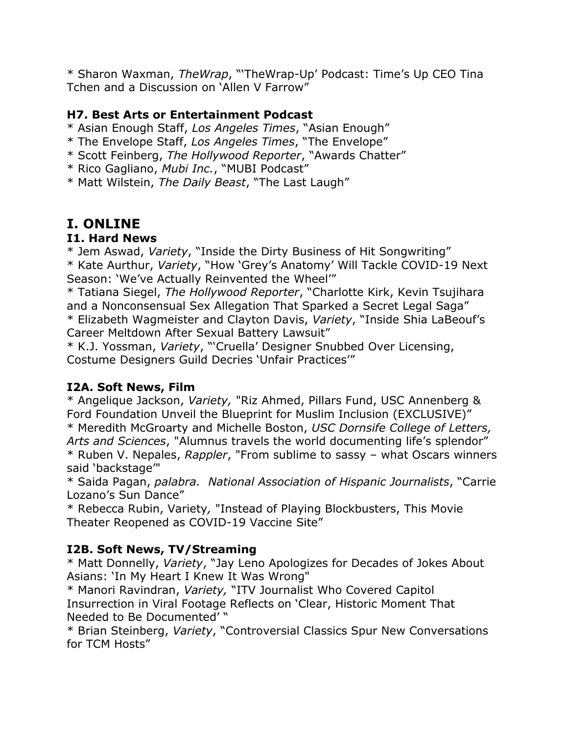\* Sharon Waxman, *TheWrap*, "'TheWrap-Up' Podcast: Time's Up CEO Tina Tchen and a Discussion on 'Allen V Farrow"

#### **H7. Best Arts or Entertainment Podcast**

- \* Asian Enough Staff, *Los Angeles Times*, "Asian Enough"
- \* The Envelope Staff, *Los Angeles Times*, "The Envelope"
- \* Scott Feinberg, *The Hollywood Reporter*, "Awards Chatter"
- \* Rico Gagliano, *Mubi Inc.*, "MUBI Podcast"
- \* Matt Wilstein, *The Daily Beast*, "The Last Laugh"

# **I. ONLINE**

#### **I1. Hard News**

\* Jem Aswad, *Variety*, "Inside the Dirty Business of Hit Songwriting" \* Kate Aurthur, *Variety*, "How 'Grey's Anatomy' Will Tackle COVID-19 Next Season: 'We've Actually Reinvented the Wheel'"

\* Tatiana Siegel, *The Hollywood Reporter*, "Charlotte Kirk, Kevin Tsujihara and a Nonconsensual Sex Allegation That Sparked a Secret Legal Saga" \* Elizabeth Wagmeister and Clayton Davis, *Variety*, "Inside Shia LaBeouf's Career Meltdown After Sexual Battery Lawsuit"

\* K.J. Yossman, *Variety*, "'Cruella' Designer Snubbed Over Licensing, Costume Designers Guild Decries 'Unfair Practices'"

#### **I2A. Soft News, Film**

\* Angelique Jackson, *Variety,* "Riz Ahmed, Pillars Fund, USC Annenberg & Ford Foundation Unveil the Blueprint for Muslim Inclusion (EXCLUSIVE)" \* Meredith McGroarty and Michelle Boston, *USC Dornsife College of Letters, Arts and Sciences*, "Alumnus travels the world documenting life's splendor" \* Ruben V. Nepales, *Rappler*, "From sublime to sassy – what Oscars winners said 'backstage'"

\* Saida Pagan, *palabra. National Association of Hispanic Journalists*, "Carrie Lozano's Sun Dance"

\* Rebecca Rubin, Variety*,* "Instead of Playing Blockbusters, This Movie Theater Reopened as COVID-19 Vaccine Site"

# **I2B. Soft News, TV/Streaming**

\* Matt Donnelly, *Variety*, "Jay Leno Apologizes for Decades of Jokes About Asians: 'In My Heart I Knew It Was Wrong"

\* Manori Ravindran, *Variety,* "ITV Journalist Who Covered Capitol Insurrection in Viral Footage Reflects on 'Clear, Historic Moment That Needed to Be Documented' "

\* Brian Steinberg, *Variety*, "Controversial Classics Spur New Conversations for TCM Hosts"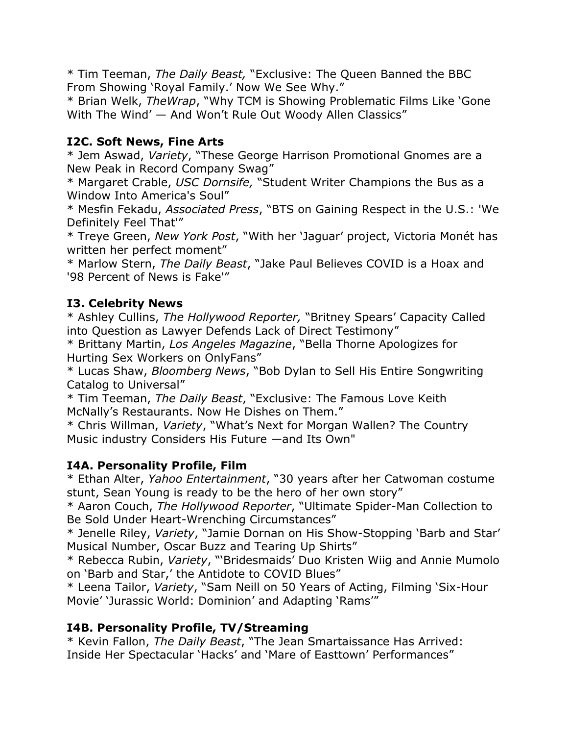\* Tim Teeman, *The Daily Beast,* "Exclusive: The Queen Banned the BBC From Showing 'Royal Family.' Now We See Why."

\* Brian Welk, *TheWrap*, "Why TCM is Showing Problematic Films Like 'Gone With The Wind' — And Won't Rule Out Woody Allen Classics"

# **I2C. Soft News, Fine Arts**

\* Jem Aswad, *Variety*, "These George Harrison Promotional Gnomes are a New Peak in Record Company Swag"

\* Margaret Crable, *USC Dornsife,* "Student Writer Champions the Bus as a Window Into America's Soul"

\* Mesfin Fekadu, *Associated Press*, "BTS on Gaining Respect in the U.S.: 'We Definitely Feel That'"

\* Treye Green, *New York Post*, "With her 'Jaguar' project, Victoria Monét has written her perfect moment"

\* Marlow Stern, *The Daily Beast*, "Jake Paul Believes COVID is a Hoax and '98 Percent of News is Fake'"

#### **I3. Celebrity News**

\* Ashley Cullins, *The Hollywood Reporter,* "Britney Spears' Capacity Called into Question as Lawyer Defends Lack of Direct Testimony"

\* Brittany Martin, *Los Angeles Magazine*, "Bella Thorne Apologizes for Hurting Sex Workers on OnlyFans"

\* Lucas Shaw, *Bloomberg News*, "Bob Dylan to Sell His Entire Songwriting Catalog to Universal"

\* Tim Teeman, *The Daily Beast*, "Exclusive: The Famous Love Keith McNally's Restaurants. Now He Dishes on Them."

\* Chris Willman, *Variety*, "What's Next for Morgan Wallen? The Country Music industry Considers His Future —and Its Own"

#### **I4A. Personality Profile, Film**

\* Ethan Alter, *Yahoo Entertainment*, "30 years after her Catwoman costume stunt, Sean Young is ready to be the hero of her own story"

\* Aaron Couch, *The Hollywood Reporter*, "Ultimate Spider-Man Collection to Be Sold Under Heart-Wrenching Circumstances"

\* Jenelle Riley, *Variety*, "Jamie Dornan on His Show-Stopping 'Barb and Star' Musical Number, Oscar Buzz and Tearing Up Shirts"

\* Rebecca Rubin, *Variety*, "'Bridesmaids' Duo Kristen Wiig and Annie Mumolo on 'Barb and Star,' the Antidote to COVID Blues"

\* Leena Tailor, *Variety*, "Sam Neill on 50 Years of Acting, Filming 'Six-Hour Movie' 'Jurassic World: Dominion' and Adapting 'Rams'"

#### **I4B. Personality Profile, TV/Streaming**

\* Kevin Fallon, *The Daily Beast*, "The Jean Smartaissance Has Arrived: Inside Her Spectacular 'Hacks' and 'Mare of Easttown' Performances"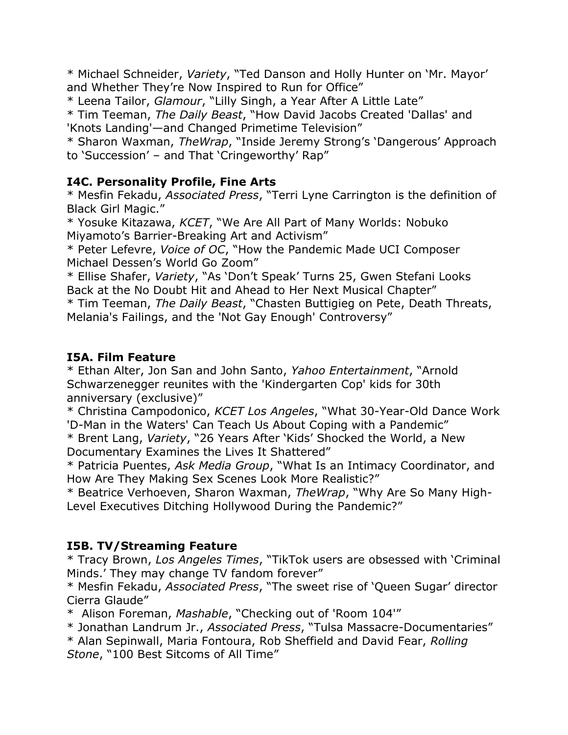\* Michael Schneider, *Variety*, "Ted Danson and Holly Hunter on 'Mr. Mayor' and Whether They're Now Inspired to Run for Office"

\* Leena Tailor, *Glamour*, "Lilly Singh, a Year After A Little Late"

\* Tim Teeman, *The Daily Beast*, "How David Jacobs Created 'Dallas' and 'Knots Landing'—and Changed Primetime Television"

\* Sharon Waxman, *TheWrap*, "Inside Jeremy Strong's 'Dangerous' Approach to 'Succession' – and That 'Cringeworthy' Rap"

#### **I4C. Personality Profile, Fine Arts**

\* Mesfin Fekadu, *Associated Press*, "Terri Lyne Carrington is the definition of Black Girl Magic."

\* Yosuke Kitazawa, *KCET*, "We Are All Part of Many Worlds: Nobuko Miyamoto's Barrier-Breaking Art and Activism"

\* Peter Lefevre, *Voice of OC*, "How the Pandemic Made UCI Composer Michael Dessen's World Go Zoom"

\* Ellise Shafer, *Variety*, "As 'Don't Speak' Turns 25, Gwen Stefani Looks Back at the No Doubt Hit and Ahead to Her Next Musical Chapter"

\* Tim Teeman, *The Daily Beast*, "Chasten Buttigieg on Pete, Death Threats, Melania's Failings, and the 'Not Gay Enough' Controversy"

#### **I5A. Film Feature**

\* Ethan Alter, Jon San and John Santo, *Yahoo Entertainment*, "Arnold Schwarzenegger reunites with the 'Kindergarten Cop' kids for 30th anniversary (exclusive)"

\* Christina Campodonico, *KCET Los Angeles*, "What 30-Year-Old Dance Work 'D-Man in the Waters' Can Teach Us About Coping with a Pandemic"

\* Brent Lang, *Variety*, "26 Years After 'Kids' Shocked the World, a New Documentary Examines the Lives It Shattered"

\* Patricia Puentes, *Ask Media Group*, "What Is an Intimacy Coordinator, and How Are They Making Sex Scenes Look More Realistic?"

\* Beatrice Verhoeven, Sharon Waxman, *TheWrap*, "Why Are So Many High-Level Executives Ditching Hollywood During the Pandemic?"

# **I5B. TV/Streaming Feature**

\* Tracy Brown, *Los Angeles Times*, "TikTok users are obsessed with 'Criminal Minds.' They may change TV fandom forever"

\* Mesfin Fekadu, *Associated Press*, "The sweet rise of 'Queen Sugar' director Cierra Glaude"

\* Alison Foreman, *Mashable*, "Checking out of 'Room 104'"

\* Jonathan Landrum Jr., *Associated Press*, "Tulsa Massacre-Documentaries"

\* Alan Sepinwall, Maria Fontoura, Rob Sheffield and David Fear, *Rolling Stone*, "100 Best Sitcoms of All Time"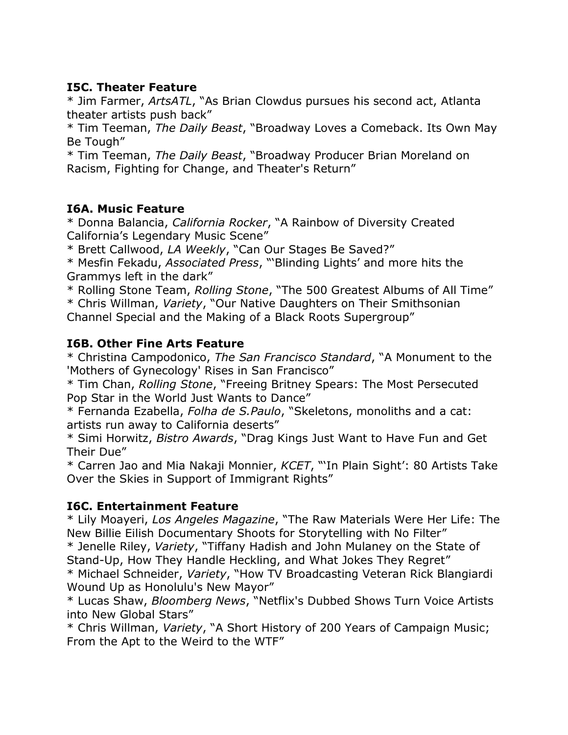#### **I5C. Theater Feature**

\* Jim Farmer, *ArtsATL*, "As Brian Clowdus pursues his second act, Atlanta theater artists push back"

\* Tim Teeman, *The Daily Beast*, "Broadway Loves a Comeback. Its Own May Be Tough"

\* Tim Teeman, *The Daily Beast*, "Broadway Producer Brian Moreland on Racism, Fighting for Change, and Theater's Return"

#### **I6A. Music Feature**

\* Donna Balancia, *California Rocker*, "A Rainbow of Diversity Created California's Legendary Music Scene"

\* Brett Callwood, *LA Weekly*, "Can Our Stages Be Saved?"

\* Mesfin Fekadu, *Associated Press*, "'Blinding Lights' and more hits the Grammys left in the dark"

\* Rolling Stone Team, *Rolling Stone*, "The 500 Greatest Albums of All Time"

\* Chris Willman, *Variety*, "Our Native Daughters on Their Smithsonian Channel Special and the Making of a Black Roots Supergroup"

#### **I6B. Other Fine Arts Feature**

\* Christina Campodonico, *The San Francisco Standard*, "A Monument to the 'Mothers of Gynecology' Rises in San Francisco"

\* Tim Chan, *Rolling Stone*, "Freeing Britney Spears: The Most Persecuted Pop Star in the World Just Wants to Dance"

\* Fernanda Ezabella, *Folha de S.Paulo*, "Skeletons, monoliths and a cat: artists run away to California deserts"

\* Simi Horwitz, *Bistro Awards*, "Drag Kings Just Want to Have Fun and Get Their Due"

\* Carren Jao and Mia Nakaji Monnier, *KCET*, "'In Plain Sight': 80 Artists Take Over the Skies in Support of Immigrant Rights"

#### **I6C. Entertainment Feature**

\* Lily Moayeri, *Los Angeles Magazine*, "The Raw Materials Were Her Life: The New Billie Eilish Documentary Shoots for Storytelling with No Filter"

\* Jenelle Riley, *Variety*, "Tiffany Hadish and John Mulaney on the State of Stand-Up, How They Handle Heckling, and What Jokes They Regret"

\* Michael Schneider, *Variety*, "How TV Broadcasting Veteran Rick Blangiardi Wound Up as Honolulu's New Mayor"

\* Lucas Shaw, *Bloomberg News*, "Netflix's Dubbed Shows Turn Voice Artists into New Global Stars"

\* Chris Willman, *Variety*, "A Short History of 200 Years of Campaign Music; From the Apt to the Weird to the WTF"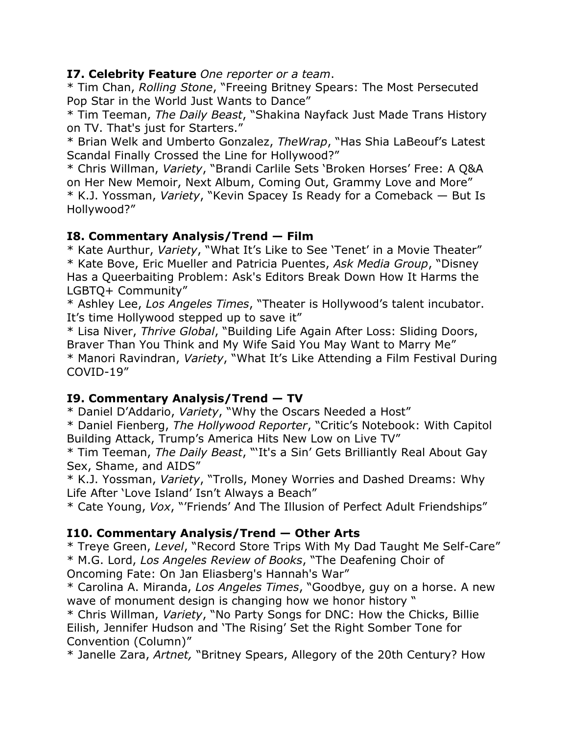#### **I7. Celebrity Feature** *One reporter or a team*.

\* Tim Chan, *Rolling Stone*, "Freeing Britney Spears: The Most Persecuted Pop Star in the World Just Wants to Dance"

\* Tim Teeman, *The Daily Beast*, "Shakina Nayfack Just Made Trans History on TV. That's just for Starters."

\* Brian Welk and Umberto Gonzalez, *TheWrap*, "Has Shia LaBeouf's Latest Scandal Finally Crossed the Line for Hollywood?"

\* Chris Willman, *Variety*, "Brandi Carlile Sets 'Broken Horses' Free: A Q&A on Her New Memoir, Next Album, Coming Out, Grammy Love and More" \* K.J. Yossman, *Variety*, "Kevin Spacey Is Ready for a Comeback — But Is Hollywood?"

#### **I8. Commentary Analysis/Trend — Film**

\* Kate Aurthur, *Variety*, "What It's Like to See 'Tenet' in a Movie Theater" \* Kate Bove, Eric Mueller and Patricia Puentes, *Ask Media Group*, "Disney Has a Queerbaiting Problem: Ask's Editors Break Down How It Harms the LGBTQ+ Community"

\* Ashley Lee, *Los Angeles Times*, "Theater is Hollywood's talent incubator. It's time Hollywood stepped up to save it"

\* Lisa Niver, *Thrive Global*, "Building Life Again After Loss: Sliding Doors, Braver Than You Think and My Wife Said You May Want to Marry Me" \* Manori Ravindran, *Variety*, "What It's Like Attending a Film Festival During COVID-19"

# **I9. Commentary Analysis/Trend — TV**

\* Daniel D'Addario, *Variety*, "Why the Oscars Needed a Host"

\* Daniel Fienberg, *The Hollywood Reporter*, "Critic's Notebook: With Capitol Building Attack, Trump's America Hits New Low on Live TV"

\* Tim Teeman, *The Daily Beast*, "'It's a Sin' Gets Brilliantly Real About Gay Sex, Shame, and AIDS"

\* K.J. Yossman, *Variety*, "Trolls, Money Worries and Dashed Dreams: Why Life After 'Love Island' Isn't Always a Beach"

\* Cate Young, *Vox*, "'Friends' And The Illusion of Perfect Adult Friendships"

# **I10. Commentary Analysis/Trend — Other Arts**

\* Treye Green, *Level*, "Record Store Trips With My Dad Taught Me Self-Care" \* M.G. Lord, *Los Angeles Review of Books*, "The Deafening Choir of Oncoming Fate: On Jan Eliasberg's Hannah's War"

\* Carolina A. Miranda, *Los Angeles Times*, "Goodbye, guy on a horse. A new wave of monument design is changing how we honor history "

\* Chris Willman, *Variety*, "No Party Songs for DNC: How the Chicks, Billie Eilish, Jennifer Hudson and 'The Rising' Set the Right Somber Tone for Convention (Column)"

\* Janelle Zara, *Artnet,* "Britney Spears, Allegory of the 20th Century? How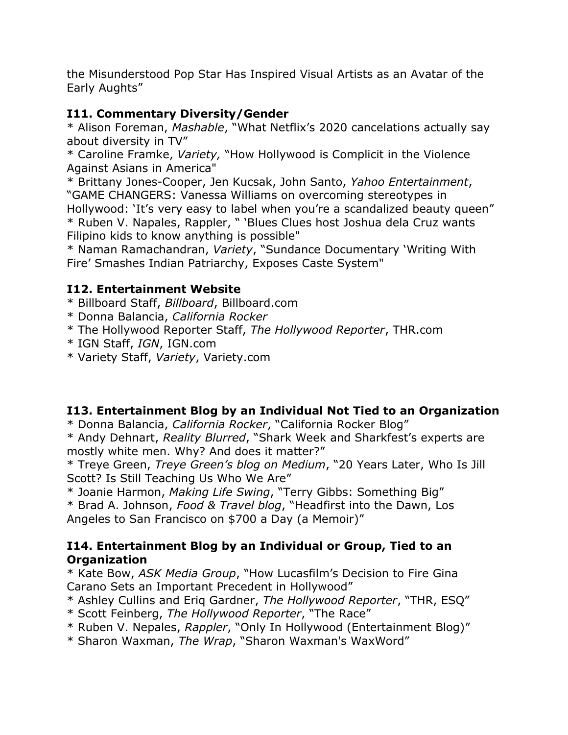the Misunderstood Pop Star Has Inspired Visual Artists as an Avatar of the Early Aughts"

# **I11. Commentary Diversity/Gender**

\* Alison Foreman, *Mashable*, "What Netflix's 2020 cancelations actually say about diversity in TV"

\* Caroline Framke, *Variety,* "How Hollywood is Complicit in the Violence Against Asians in America"

\* Brittany Jones-Cooper, Jen Kucsak, John Santo, *Yahoo Entertainment*, "GAME CHANGERS: Vanessa Williams on overcoming stereotypes in Hollywood: 'It's very easy to label when you're a scandalized beauty queen" \* Ruben V. Napales, Rappler, " 'Blues Clues host Joshua dela Cruz wants Filipino kids to know anything is possible"

\* Naman Ramachandran, *Variety*, "Sundance Documentary 'Writing With Fire' Smashes Indian Patriarchy, Exposes Caste System"

# **I12. Entertainment Website**

- \* Billboard Staff, *Billboard*, Billboard.com
- \* Donna Balancia, *California Rocker*
- \* The Hollywood Reporter Staff, *The Hollywood Reporter*, THR.com
- \* IGN Staff, *IGN*, IGN.com
- \* Variety Staff, *Variety*, Variety.com

#### **I13. Entertainment Blog by an Individual Not Tied to an Organization**

\* Donna Balancia, *California Rocker*, "California Rocker Blog"

\* Andy Dehnart, *Reality Blurred*, "Shark Week and Sharkfest's experts are mostly white men. Why? And does it matter?"

\* Treye Green, *Treye Green's blog on Medium*, "20 Years Later, Who Is Jill Scott? Is Still Teaching Us Who We Are"

\* Joanie Harmon, *Making Life Swing*, "Terry Gibbs: Something Big"

\* Brad A. Johnson, *Food & Travel blog*, "Headfirst into the Dawn, Los Angeles to San Francisco on \$700 a Day (a Memoir)"

#### **I14. Entertainment Blog by an Individual or Group, Tied to an Organization**

\* Kate Bow, *ASK Media Group*, "How Lucasfilm's Decision to Fire Gina Carano Sets an Important Precedent in Hollywood"

- \* Ashley Cullins and Eriq Gardner, *The Hollywood Reporter*, "THR, ESQ"
- \* Scott Feinberg, *The Hollywood Reporter*, "The Race"
- \* Ruben V. Nepales, *Rappler*, "Only In Hollywood (Entertainment Blog)"
- \* Sharon Waxman, *The Wrap*, "Sharon Waxman's WaxWord"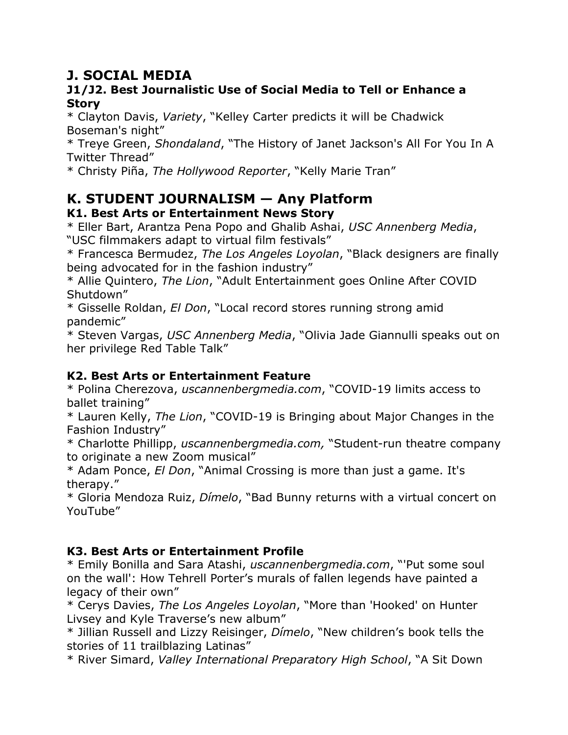# **J. SOCIAL MEDIA**

#### **J1/J2. Best Journalistic Use of Social Media to Tell or Enhance a Story**

\* Clayton Davis, *Variety*, "Kelley Carter predicts it will be Chadwick Boseman's night"

\* Treye Green, *Shondaland*, "The History of Janet Jackson's All For You In A Twitter Thread"

\* Christy Piña, *The Hollywood Reporter*, "Kelly Marie Tran"

# **K. STUDENT JOURNALISM — Any Platform**

# **K1. Best Arts or Entertainment News Story**

\* Eller Bart, Arantza Pena Popo and Ghalib Ashai, *USC Annenberg Media*, "USC filmmakers adapt to virtual film festivals"

\* Francesca Bermudez, *The Los Angeles Loyolan*, "Black designers are finally being advocated for in the fashion industry"

\* Allie Quintero, *The Lion*, "Adult Entertainment goes Online After COVID Shutdown"

\* Gisselle Roldan, *El Don*, "Local record stores running strong amid pandemic"

\* Steven Vargas, *USC Annenberg Media*, "Olivia Jade Giannulli speaks out on her privilege Red Table Talk"

# **K2. Best Arts or Entertainment Feature**

\* Polina Cherezova, *uscannenbergmedia.com*, "COVID-19 limits access to ballet training"

\* Lauren Kelly, *The Lion*, "COVID-19 is Bringing about Major Changes in the Fashion Industry"

\* Charlotte Phillipp, *uscannenbergmedia.com,* "Student-run theatre company to originate a new Zoom musical"

\* Adam Ponce, *El Don*, "Animal Crossing is more than just a game. It's therapy."

\* Gloria Mendoza Ruiz, *Dímelo*, "Bad Bunny returns with a virtual concert on YouTube"

# **K3. Best Arts or Entertainment Profile**

\* Emily Bonilla and Sara Atashi, *uscannenbergmedia.com*, "'Put some soul on the wall': How Tehrell Porter's murals of fallen legends have painted a legacy of their own"

\* Cerys Davies, *The Los Angeles Loyolan*, "More than 'Hooked' on Hunter Livsey and Kyle Traverse's new album"

\* Jillian Russell and Lizzy Reisinger, *Dímelo*, "New children's book tells the stories of 11 trailblazing Latinas"

\* River Simard, *Valley International Preparatory High School*, "A Sit Down